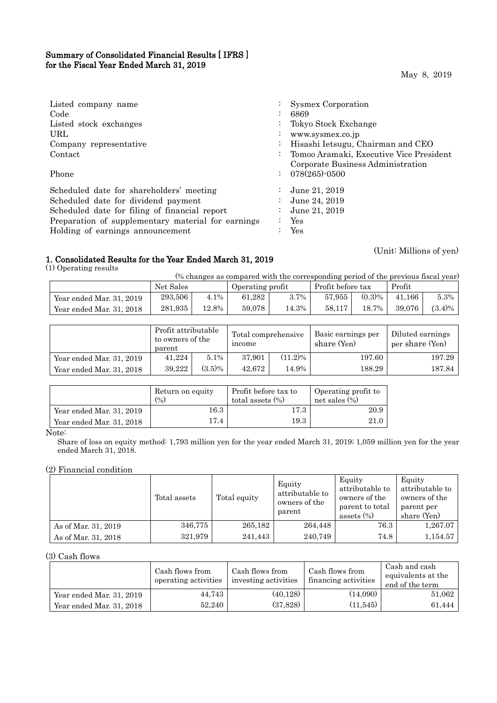## Summary of Consolidated Financial Results [ IFRS ] for the Fiscal Year Ended March 31, 2019

| Listed company name                                |                | Sysmex Corporation                      |
|----------------------------------------------------|----------------|-----------------------------------------|
| Code                                               |                | 6869                                    |
| Listed stock exchanges                             | $\bullet$      | Tokyo Stock Exchange                    |
| URL                                                | $\bullet$      | www.sysmex.co.jp                        |
| Company representative                             |                | Hisashi Ietsugu, Chairman and CEO       |
| Contact                                            | $\bullet$      | Tomoo Aramaki, Executive Vice President |
|                                                    |                | Corporate Business Administration       |
| Phone                                              | $\ddot{\cdot}$ | $078(265)$ -0500                        |
| Scheduled date for shareholders' meeting           | $\bullet$      | June 21, 2019                           |
| Scheduled date for dividend payment                | $\bullet$      | June 24, 2019                           |
| Scheduled date for filing of financial report      | $\bullet$      | June 21, 2019                           |
| Preparation of supplementary material for earnings |                | Yes                                     |
| Holding of earnings announcement                   |                | Yes                                     |

## 1. Consolidated Results for the Year Ended March 31, 2019

(1) Operating results

(Unit: Millions of yen)

| (% changes as compared with the corresponding period of the previous fiscal year) |  |  |
|-----------------------------------------------------------------------------------|--|--|
|                                                                                   |  |  |

|                          | Net Sales |       |        | Operating profit |        | Profit before tax |        |           |
|--------------------------|-----------|-------|--------|------------------|--------|-------------------|--------|-----------|
| Year ended Mar. 31, 2019 | 293.506   | 4.1%  | 61.282 | 3.7%             | 57.955 | $(0.3)\%$         | 41.166 | $5.3\%$   |
| Year ended Mar. 31, 2018 | 281.935   | 12.8% | 59.078 | 14.3%            | 58.117 | 18.7%             | 39.076 | $(3.4)\%$ |

|                          | Profit attributable<br>to owners of the<br>parent |           | Total comprehensive<br>income |       | Basic earnings per<br>share (Yen) | Diluted earnings<br>per share (Yen) |
|--------------------------|---------------------------------------------------|-----------|-------------------------------|-------|-----------------------------------|-------------------------------------|
| Year ended Mar. 31, 2019 | 41,224                                            | 5.1%      | $(11.2)\%$<br>37.901          |       | 197.60                            | 197.29                              |
| Year ended Mar. 31, 2018 | 39.222                                            | $(3.5)\%$ | 42.672                        | 14.9% | 188.29                            | 187.84                              |

|                          | Return on equity<br>$\frac{6}{2}$ | Profit before tax to<br>total assets $(\%)$ | Operating profit to<br>net sales $(\% )$ |
|--------------------------|-----------------------------------|---------------------------------------------|------------------------------------------|
| Year ended Mar. 31, 2019 | 16.3                              | 17.3                                        | 20.9                                     |
| Year ended Mar. 31, 2018 | 17.4                              | 19.3                                        | 21.0                                     |

Note:

Share of loss on equity method: 1,793 million yen for the year ended March 31, 2019; 1,059 million yen for the year ended March 31, 2018.

## (2) Financial condition

|                     | Total assets | Total equity | Equity<br>attributable to<br>owners of the<br>parent | Equity<br>attributable to<br>owners of the<br>parent to total<br>assets $(\%)$ | Equity<br>attributable to<br>owners of the<br>parent per<br>share (Yen) |
|---------------------|--------------|--------------|------------------------------------------------------|--------------------------------------------------------------------------------|-------------------------------------------------------------------------|
| As of Mar. 31, 2019 | 346,775      | 265,182      | 264,448                                              | 76.3                                                                           | 1,267.07                                                                |
| As of Mar. 31, 2018 | 321,979      | 241,443      | 240.749                                              | 74.8                                                                           | 1,154.57                                                                |

(3) Cash flows

|                          | Cash flows from<br>operating activities | Cash flows from<br>investing activities | Cash flows from<br>financing activities | Cash and cash<br>equivalents at the<br>end of the term |
|--------------------------|-----------------------------------------|-----------------------------------------|-----------------------------------------|--------------------------------------------------------|
| Year ended Mar. 31, 2019 | 44.743                                  | (40.128)                                | (14,090)                                | 51,062                                                 |
| Year ended Mar. 31, 2018 | 52,240                                  | (37, 828)                               | (11, 545)                               | 61,444                                                 |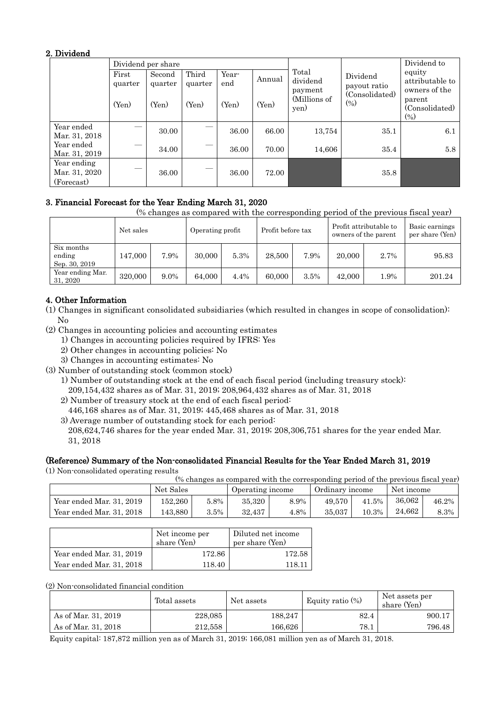## 2. Dividend

|                                            |                  | Dividend per share |                  |              |        |                                                 |                          | Dividend to                                |
|--------------------------------------------|------------------|--------------------|------------------|--------------|--------|-------------------------------------------------|--------------------------|--------------------------------------------|
|                                            | First<br>quarter | Second<br>quarter  | Third<br>quarter | Year-<br>end | Annual | Total<br>dividend<br>payment                    | Dividend<br>payout ratio | equity<br>attributable to<br>owners of the |
|                                            | (Yen)            | (Yen)              | (Yen)            | (Yen)        | (Yen)  | (Consolidated)<br>(Millions of<br>(0/0)<br>yen) |                          | parent<br>(Consolidated)<br>$(\%)$         |
| Year ended<br>Mar. 31, 2018                |                  | 30.00              |                  | 36.00        | 66.00  | 13,754                                          | 35.1                     | 6.1                                        |
| Year ended<br>Mar. 31, 2019                | --               | 34.00              |                  | 36.00        | 70.00  | 14,606                                          | 35.4                     | 5.8                                        |
| Year ending<br>Mar. 31, 2020<br>(Forecast) |                  | 36.00              |                  | 36.00        | 72.00  |                                                 | 35.8                     |                                            |

# 3. Financial Forecast for the Year Ending March 31, 2020

(% changes as compared with the corresponding period of the previous fiscal year)

|                                       | Net sales |      | Profit before tax<br>Operating profit |      |        |      |        | Profit attributable to<br>owners of the parent | Basic earnings<br>per share (Yen) |
|---------------------------------------|-----------|------|---------------------------------------|------|--------|------|--------|------------------------------------------------|-----------------------------------|
| Six months<br>ending<br>Sep. 30, 2019 | 147,000   | 7.9% | 30,000                                | 5.3% | 28,500 | 7.9% | 20,000 | 2.7%                                           | 95.83                             |
| Year ending Mar.<br>31, 2020          | 320,000   | 9.0% | 64.000                                | 4.4% | 60,000 | 3.5% | 42,000 | 1.9%                                           | 201.24                            |

# 4. Other Information

(1) Changes in significant consolidated subsidiaries (which resulted in changes in scope of consolidation): No

- (2) Changes in accounting policies and accounting estimates
	- 1) Changes in accounting policies required by IFRS: Yes
	- 2) Other changes in accounting policies: No
	- 3) Changes in accounting estimates: No
- (3) Number of outstanding stock (common stock)
	- 1) Number of outstanding stock at the end of each fiscal period (including treasury stock): 209,154,432 shares as of Mar. 31, 2019; 208,964,432 shares as of Mar. 31, 2018
	- 2) Number of treasury stock at the end of each fiscal period:
	- 446,168 shares as of Mar. 31, 2019; 445,468 shares as of Mar. 31, 2018
	- 3) Average number of outstanding stock for each period:

208,624,746 shares for the year ended Mar. 31, 2019; 208,306,751 shares for the year ended Mar. 31, 2018

## (Reference) Summary of the Non-consolidated Financial Results for the Year Ended March 31, 2019

(1) Non-consolidated operating results

(% changes as compared with the corresponding period of the previous fiscal year)

|                          | Net Sales |         | Operating income |      | Ordinary income |       | Net income |       |
|--------------------------|-----------|---------|------------------|------|-----------------|-------|------------|-------|
| Year ended Mar. 31, 2019 | 152.260   | $5.8\%$ | 35.320           | 8.9% | 49.570          | 41.5% | 36.062     | 46.2% |
| Year ended Mar. 31, 2018 | 143.880   | $3.5\%$ | 32.437           | 4.8% | 35,037          | 10.3% | 24.662     | 8.3%  |

|                          | Net income per<br>share (Yen) | Diluted net income<br>per share (Yen) |  |  |
|--------------------------|-------------------------------|---------------------------------------|--|--|
| Year ended Mar. 31, 2019 | 172.86                        | 172.58                                |  |  |
| Year ended Mar. 31, 2018 | 118.40                        | 118.11                                |  |  |

## (2) Non-consolidated financial condition

|                     | Total assets | Net assets  | Equity ratio $(\%)$ | Net assets per<br>share (Yen) |
|---------------------|--------------|-------------|---------------------|-------------------------------|
| As of Mar. 31, 2019 | 228,085      | 188,247     | 82.4                | 900.17                        |
| As of Mar. 31, 2018 | 212,558      | $166.626\,$ | 78.1                | 796.48                        |

Equity capital: 187,872 million yen as of March 31, 2019; 166,081 million yen as of March 31, 2018.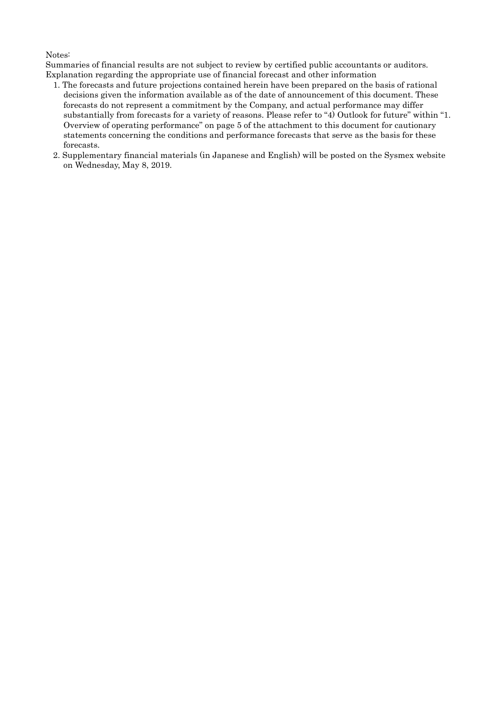## Notes:

Summaries of financial results are not subject to review by certified public accountants or auditors. Explanation regarding the appropriate use of financial forecast and other information

- 1. The forecasts and future projections contained herein have been prepared on the basis of rational decisions given the information available as of the date of announcement of this document. These forecasts do not represent a commitment by the Company, and actual performance may differ substantially from forecasts for a variety of reasons. Please refer to "4) Outlook for future" within "1. Overview of operating performance" on page 5 of the attachment to this document for cautionary statements concerning the conditions and performance forecasts that serve as the basis for these forecasts.
- 2. Supplementary financial materials (in Japanese and English) will be posted on the Sysmex website on Wednesday, May 8, 2019.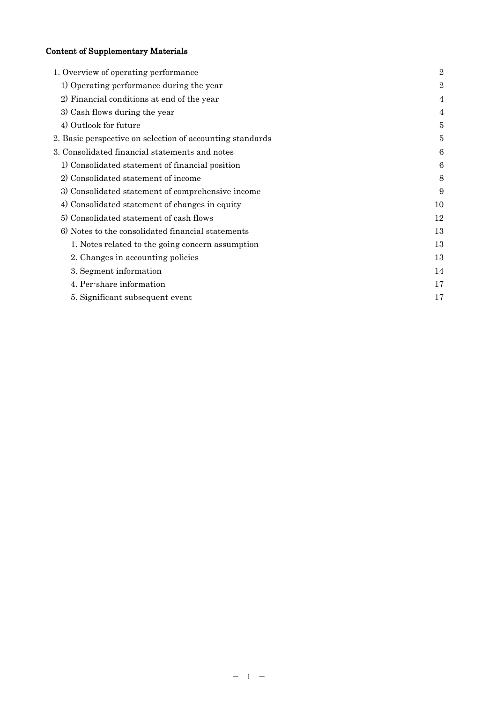# Content of Supplementary Materials

| 1. Overview of operating performance                      | $\overline{2}$ |
|-----------------------------------------------------------|----------------|
| 1) Operating performance during the year                  | $\overline{2}$ |
| 2) Financial conditions at end of the year                | $\overline{4}$ |
| 3) Cash flows during the year                             | 4              |
| 4) Outlook for future                                     | 5              |
| 2. Basic perspective on selection of accounting standards | 5              |
| 3. Consolidated financial statements and notes            | 6              |
| 1) Consolidated statement of financial position           | 6              |
| 2) Consolidated statement of income                       | 8              |
| 3) Consolidated statement of comprehensive income         | 9              |
| 4) Consolidated statement of changes in equity            | 10             |
| 5) Consolidated statement of cash flows                   | 12             |
| 6) Notes to the consolidated financial statements         | 13             |
| 1. Notes related to the going concern assumption          | 13             |
| 2. Changes in accounting policies                         | 13             |
| 3. Segment information                                    | 14             |
| 4. Per-share information                                  | 17             |
| 5. Significant subsequent event                           | 17             |
|                                                           |                |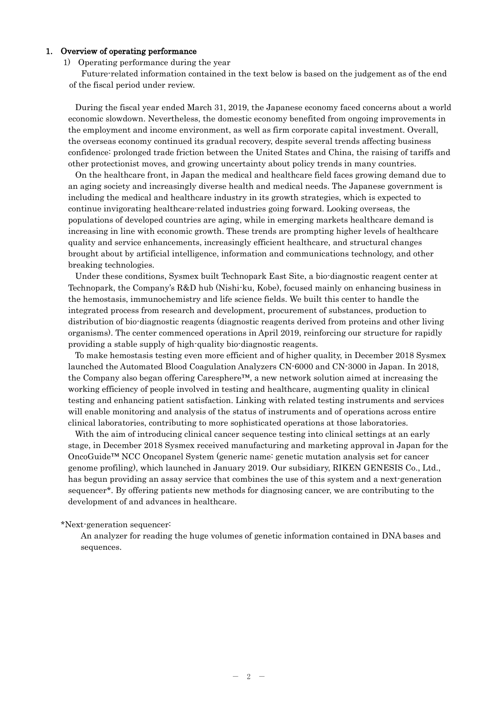## 1. Overview of operating performance

#### 1) Operating performance during the year

Future-related information contained in the text below is based on the judgement as of the end of the fiscal period under review.

During the fiscal year ended March 31, 2019, the Japanese economy faced concerns about a world economic slowdown. Nevertheless, the domestic economy benefited from ongoing improvements in the employment and income environment, as well as firm corporate capital investment. Overall, the overseas economy continued its gradual recovery, despite several trends affecting business confidence: prolonged trade friction between the United States and China, the raising of tariffs and other protectionist moves, and growing uncertainty about policy trends in many countries.

On the healthcare front, in Japan the medical and healthcare field faces growing demand due to an aging society and increasingly diverse health and medical needs. The Japanese government is including the medical and healthcare industry in its growth strategies, which is expected to continue invigorating healthcare-related industries going forward. Looking overseas, the populations of developed countries are aging, while in emerging markets healthcare demand is increasing in line with economic growth. These trends are prompting higher levels of healthcare quality and service enhancements, increasingly efficient healthcare, and structural changes brought about by artificial intelligence, information and communications technology, and other breaking technologies.

Under these conditions, Sysmex built Technopark East Site, a bio-diagnostic reagent center at Technopark, the Company's R&D hub (Nishi-ku, Kobe), focused mainly on enhancing business in the hemostasis, immunochemistry and life science fields. We built this center to handle the integrated process from research and development, procurement of substances, production to distribution of bio-diagnostic reagents (diagnostic reagents derived from proteins and other living organisms). The center commenced operations in April 2019, reinforcing our structure for rapidly providing a stable supply of high-quality bio-diagnostic reagents.

To make hemostasis testing even more efficient and of higher quality, in December 2018 Sysmex launched the Automated Blood Coagulation Analyzers CN-6000 and CN-3000 in Japan. In 2018, the Company also began offering Caresphere™, a new network solution aimed at increasing the working efficiency of people involved in testing and healthcare, augmenting quality in clinical testing and enhancing patient satisfaction. Linking with related testing instruments and services will enable monitoring and analysis of the status of instruments and of operations across entire clinical laboratories, contributing to more sophisticated operations at those laboratories.

With the aim of introducing clinical cancer sequence testing into clinical settings at an early stage, in December 2018 Sysmex received manufacturing and marketing approval in Japan for the OncoGuide™ NCC Oncopanel System (generic name: genetic mutation analysis set for cancer genome profiling), which launched in January 2019. Our subsidiary, RIKEN GENESIS Co., Ltd., has begun providing an assay service that combines the use of this system and a next-generation sequencer\*. By offering patients new methods for diagnosing cancer, we are contributing to the development of and advances in healthcare.

#### \*Next-generation sequencer:

An analyzer for reading the huge volumes of genetic information contained in DNA bases and sequences.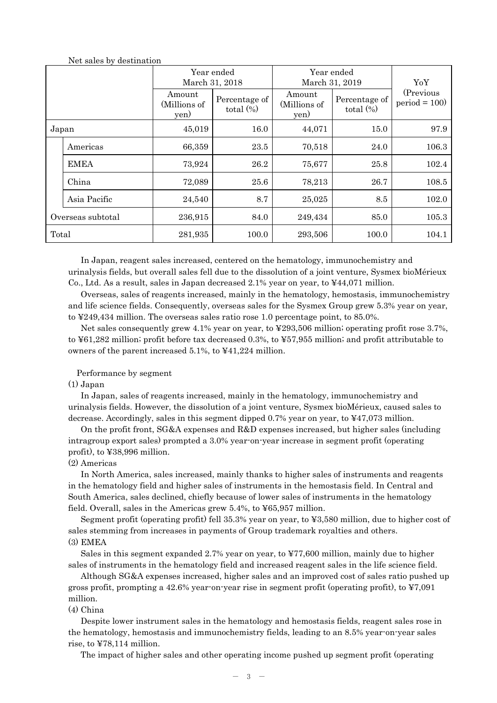|                   |              |                                | Year ended<br>March 31, 2018  | Year ended<br>March 31, 2019   | YoY                           |                             |
|-------------------|--------------|--------------------------------|-------------------------------|--------------------------------|-------------------------------|-----------------------------|
|                   |              | Amount<br>(Millions of<br>yen) | Percentage of<br>total $(\%)$ | Amount<br>(Millions of<br>yen) | Percentage of<br>total $(\%)$ | (Previous<br>$period = 100$ |
| Japan             |              | 16.0<br>45,019<br>44,071       |                               | 15.0                           | 97.9                          |                             |
|                   | Americas     | 66,359                         | 23.5                          | 70,518                         | 24.0                          | 106.3                       |
|                   | <b>EMEA</b>  | 73,924                         | 26.2                          | 75,677                         | 25.8                          | 102.4                       |
|                   | China        | 72,089                         | 25.6                          | 78,213                         | 26.7                          | 108.5                       |
|                   | Asia Pacific | 24,540                         | 8.7                           | 25,025                         | 8.5                           | 102.0                       |
| Overseas subtotal |              | 236,915                        | 84.0                          | 249,434                        | 85.0                          | 105.3                       |
| Total             |              | 281,935                        | 100.0                         | 293,506                        | 100.0                         | 104.1                       |

Net sales by destination

In Japan, reagent sales increased, centered on the hematology, immunochemistry and urinalysis fields, but overall sales fell due to the dissolution of a joint venture, Sysmex bioMérieux Co., Ltd. As a result, sales in Japan decreased 2.1% year on year, to ¥44,071 million.

Overseas, sales of reagents increased, mainly in the hematology, hemostasis, immunochemistry and life science fields. Consequently, overseas sales for the Sysmex Group grew 5.3% year on year, to ¥249,434 million. The overseas sales ratio rose 1.0 percentage point, to 85.0%.

Net sales consequently grew 4.1% year on year, to ¥293,506 million; operating profit rose 3.7%, to ¥61,282 million; profit before tax decreased 0.3%, to ¥57,955 million; and profit attributable to owners of the parent increased 5.1%, to ¥41,224 million.

## Performance by segment

#### (1) Japan

In Japan, sales of reagents increased, mainly in the hematology, immunochemistry and urinalysis fields. However, the dissolution of a joint venture, Sysmex bioMérieux, caused sales to decrease. Accordingly, sales in this segment dipped 0.7% year on year, to ¥47,073 million.

On the profit front, SG&A expenses and R&D expenses increased, but higher sales (including intragroup export sales) prompted a 3.0% year-on-year increase in segment profit (operating profit), to ¥38,996 million.

#### (2) Americas

In North America, sales increased, mainly thanks to higher sales of instruments and reagents in the hematology field and higher sales of instruments in the hemostasis field. In Central and South America, sales declined, chiefly because of lower sales of instruments in the hematology field. Overall, sales in the Americas grew 5.4%, to ¥65,957 million.

Segment profit (operating profit) fell 35.3% year on year, to ¥3,580 million, due to higher cost of sales stemming from increases in payments of Group trademark royalties and others. (3) EMEA

Sales in this segment expanded 2.7% year on year, to ¥77,600 million, mainly due to higher sales of instruments in the hematology field and increased reagent sales in the life science field.

Although SG&A expenses increased, higher sales and an improved cost of sales ratio pushed up gross profit, prompting a 42.6% year-on-year rise in segment profit (operating profit), to ¥7,091 million.

## (4) China

Despite lower instrument sales in the hematology and hemostasis fields, reagent sales rose in the hematology, hemostasis and immunochemistry fields, leading to an 8.5% year-on-year sales rise, to ¥78,114 million.

The impact of higher sales and other operating income pushed up segment profit (operating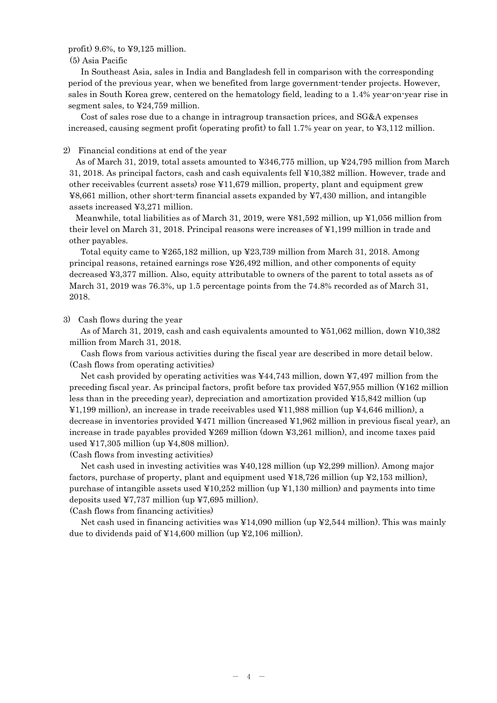profit) 9.6%, to  $\text{\textless}99,125$  million.

(5) Asia Pacific

In Southeast Asia, sales in India and Bangladesh fell in comparison with the corresponding period of the previous year, when we benefited from large government-tender projects. However, sales in South Korea grew, centered on the hematology field, leading to a 1.4% year-on-year rise in segment sales, to ¥24,759 million.

Cost of sales rose due to a change in intragroup transaction prices, and SG&A expenses increased, causing segment profit (operating profit) to fall 1.7% year on year, to ¥3,112 million.

#### 2) Financial conditions at end of the year

As of March 31, 2019, total assets amounted to ¥346,775 million, up ¥24,795 million from March 31, 2018. As principal factors, cash and cash equivalents fell ¥10,382 million. However, trade and other receivables (current assets) rose ¥11,679 million, property, plant and equipment grew ¥8,661 million, other short-term financial assets expanded by ¥7,430 million, and intangible assets increased ¥3,271 million.

Meanwhile, total liabilities as of March 31, 2019, were ¥81,592 million, up ¥1,056 million from their level on March 31, 2018. Principal reasons were increases of ¥1,199 million in trade and other payables.

Total equity came to ¥265,182 million, up ¥23,739 million from March 31, 2018. Among principal reasons, retained earnings rose ¥26,492 million, and other components of equity decreased ¥3,377 million. Also, equity attributable to owners of the parent to total assets as of March 31, 2019 was 76.3%, up 1.5 percentage points from the 74.8% recorded as of March 31, 2018.

3) Cash flows during the year

As of March 31, 2019, cash and cash equivalents amounted to ¥51,062 million, down ¥10,382 million from March 31, 2018.

Cash flows from various activities during the fiscal year are described in more detail below. (Cash flows from operating activities)

Net cash provided by operating activities was  $\frac{44,743}{1000}$  million, down  $\frac{17,497}{1000}$  million from the preceding fiscal year. As principal factors, profit before tax provided ¥57,955 million (¥162 million less than in the preceding year), depreciation and amortization provided ¥15,842 million (up ¥1,199 million), an increase in trade receivables used ¥11,988 million (up ¥4,646 million), a decrease in inventories provided ¥471 million (increased ¥1,962 million in previous fiscal year), an increase in trade payables provided ¥269 million (down ¥3,261 million), and income taxes paid used  $\text{\textsterling}17,305$  million (up  $\text{\textsterling}4,808$  million).

(Cash flows from investing activities)

Net cash used in investing activities was ¥40,128 million (up ¥2,299 million). Among major factors, purchase of property, plant and equipment used  $\text{\textsterling}18,726$  million (up  $\text{\textsterling}2,153$  million), purchase of intangible assets used  $\text{\textsterling}10,252$  million (up  $\text{\textsterling}1,130$  million) and payments into time deposits used ¥7,737 million (up ¥7,695 million).

(Cash flows from financing activities)

Net cash used in financing activities was ¥14,090 million (up ¥2,544 million). This was mainly due to dividends paid of ¥14,600 million (up ¥2,106 million).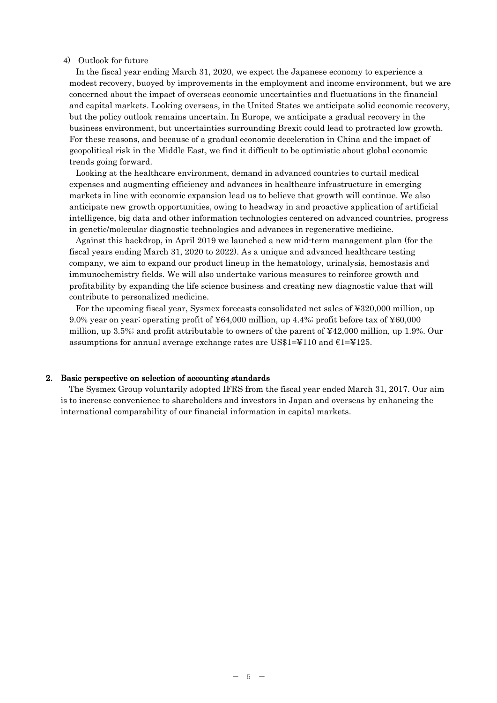#### 4) Outlook for future

In the fiscal year ending March 31, 2020, we expect the Japanese economy to experience a modest recovery, buoyed by improvements in the employment and income environment, but we are concerned about the impact of overseas economic uncertainties and fluctuations in the financial and capital markets. Looking overseas, in the United States we anticipate solid economic recovery, but the policy outlook remains uncertain. In Europe, we anticipate a gradual recovery in the business environment, but uncertainties surrounding Brexit could lead to protracted low growth. For these reasons, and because of a gradual economic deceleration in China and the impact of geopolitical risk in the Middle East, we find it difficult to be optimistic about global economic trends going forward.

Looking at the healthcare environment, demand in advanced countries to curtail medical expenses and augmenting efficiency and advances in healthcare infrastructure in emerging markets in line with economic expansion lead us to believe that growth will continue. We also anticipate new growth opportunities, owing to headway in and proactive application of artificial intelligence, big data and other information technologies centered on advanced countries, progress in genetic/molecular diagnostic technologies and advances in regenerative medicine.

Against this backdrop, in April 2019 we launched a new mid-term management plan (for the fiscal years ending March 31, 2020 to 2022). As a unique and advanced healthcare testing company, we aim to expand our product lineup in the hematology, urinalysis, hemostasis and immunochemistry fields. We will also undertake various measures to reinforce growth and profitability by expanding the life science business and creating new diagnostic value that will contribute to personalized medicine.

For the upcoming fiscal year, Sysmex forecasts consolidated net sales of ¥320,000 million, up 9.0% year on year; operating profit of ¥64,000 million, up 4.4%; profit before tax of ¥60,000 million, up 3.5%; and profit attributable to owners of the parent of ¥42,000 million, up 1.9%. Our assumptions for annual average exchange rates are US\$1=¥110 and  $E1=$ ¥125.

## 2. Basic perspective on selection of accounting standards

The Sysmex Group voluntarily adopted IFRS from the fiscal year ended March 31, 2017. Our aim is to increase convenience to shareholders and investors in Japan and overseas by enhancing the international comparability of our financial information in capital markets.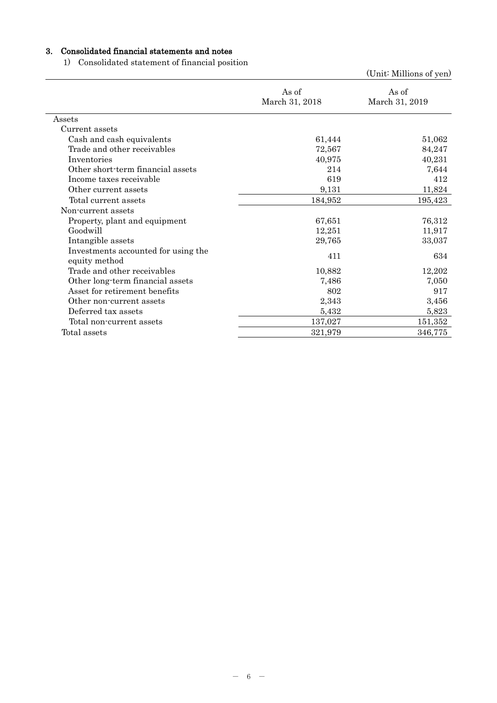# 3. Consolidated financial statements and notes

1) Consolidated statement of financial position

|                                                      |                         | (Unit: Millions of yen) |
|------------------------------------------------------|-------------------------|-------------------------|
|                                                      | As of<br>March 31, 2018 | As of<br>March 31, 2019 |
| Assets                                               |                         |                         |
| Current assets                                       |                         |                         |
| Cash and cash equivalents                            | 61,444                  | 51,062                  |
| Trade and other receivables                          | 72,567                  | 84,247                  |
| Inventories                                          | 40,975                  | 40,231                  |
| Other short-term financial assets                    | 214                     | 7,644                   |
| Income taxes receivable                              | 619                     | 412                     |
| Other current assets                                 | 9,131                   | 11,824                  |
| Total current assets                                 | 184,952                 | 195,423                 |
| Non-current assets                                   |                         |                         |
| Property, plant and equipment                        | 67,651                  | 76,312                  |
| Goodwill                                             | 12,251                  | 11,917                  |
| Intangible assets                                    | 29,765                  | 33,037                  |
| Investments accounted for using the<br>equity method | 411                     | 634                     |
| Trade and other receivables                          | 10,882                  | 12,202                  |
| Other long-term financial assets                     | 7,486                   | 7,050                   |
| Asset for retirement benefits                        | 802                     | 917                     |
| Other non-current assets                             | 2,343                   | 3,456                   |
| Deferred tax assets                                  | 5,432                   | 5,823                   |
| Total non-current assets                             | 137,027                 | 151,352                 |
| Total assets                                         | 321,979                 | 346,775                 |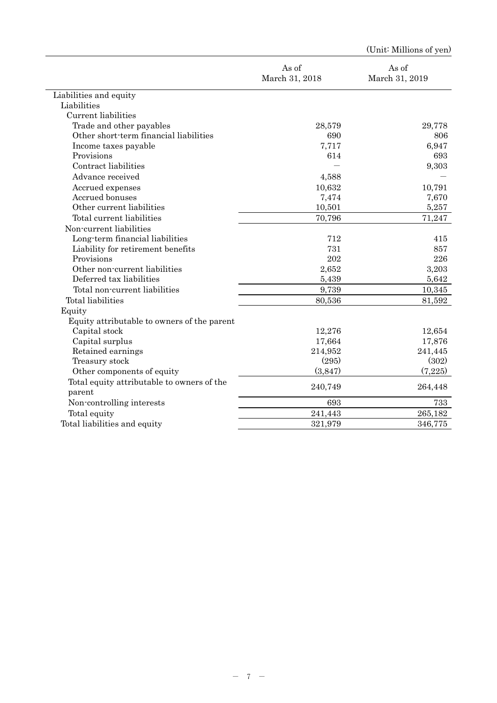|                                             |                         | (Unit: Millions of yen) |
|---------------------------------------------|-------------------------|-------------------------|
|                                             | As of<br>March 31, 2018 | As of<br>March 31, 2019 |
| Liabilities and equity                      |                         |                         |
| Liabilities                                 |                         |                         |
| Current liabilities                         |                         |                         |
| Trade and other payables                    | 28,579                  | 29,778                  |
| Other short-term financial liabilities      | 690                     | 806                     |
| Income taxes payable                        | 7,717                   | 6,947                   |
| Provisions                                  | 614                     | 693                     |
| Contract liabilities                        |                         | 9,303                   |
| Advance received                            | 4,588                   |                         |
| Accrued expenses                            | 10,632                  | 10,791                  |
| Accrued bonuses                             | 7,474                   | 7,670                   |
| Other current liabilities                   | 10,501                  | 5,257                   |
| Total current liabilities                   | 70,796                  | 71,247                  |
| Non-current liabilities                     |                         |                         |
| Long-term financial liabilities             | 712                     | 415                     |
| Liability for retirement benefits           | 731                     | 857                     |
| Provisions                                  | 202                     | 226                     |
| Other non-current liabilities               | 2,652                   | 3,203                   |
| Deferred tax liabilities                    | 5,439                   | 5,642                   |
| Total non-current liabilities               | 9,739                   | 10,345                  |
| Total liabilities                           | 80,536                  | 81,592                  |
| Equity                                      |                         |                         |
| Equity attributable to owners of the parent |                         |                         |
| Capital stock                               | 12,276                  | 12,654                  |
| Capital surplus                             | 17,664                  | 17,876                  |
| Retained earnings                           | 214,952                 | 241,445                 |
| Treasury stock                              | (295)                   | (302)                   |
| Other components of equity                  | (3,847)                 | (7,225)                 |
| Total equity attributable to owners of the  |                         |                         |
| parent                                      | 240,749                 | 264,448                 |
| Non-controlling interests                   | 693                     | 733                     |
| Total equity                                | 241,443                 | 265,182                 |
| Total liabilities and equity                | 321,979                 | 346,775                 |
|                                             |                         |                         |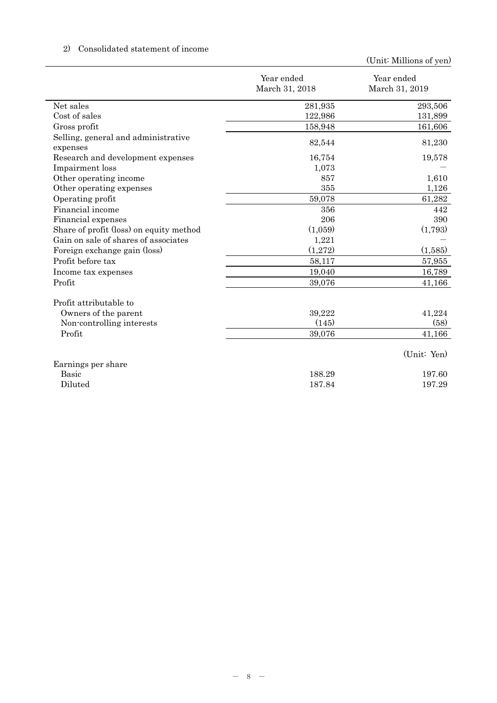# 2) Consolidated statement of income

|                                                 | Year ended     | Year ended     |
|-------------------------------------------------|----------------|----------------|
|                                                 | March 31, 2018 | March 31, 2019 |
| Net sales                                       | 281,935        | 293,506        |
| Cost of sales                                   | 122,986        | 131,899        |
| Gross profit                                    | 158,948        | 161,606        |
| Selling, general and administrative<br>expenses | 82,544         | 81,230         |
| Research and development expenses               | 16,754         | 19,578         |
| Impairment loss                                 | 1,073          |                |
| Other operating income                          | 857            | 1,610          |
| Other operating expenses                        | 355            | 1,126          |
| Operating profit                                | 59,078         | 61,282         |
| Financial income                                | 356            | 442            |
| Financial expenses                              | 206            | 390            |
| Share of profit (loss) on equity method         | (1,059)        | (1,793)        |
| Gain on sale of shares of associates            | 1,221          |                |
| Foreign exchange gain (loss)                    | (1,272)        | (1,585)        |
| Profit before tax                               | 58,117         | 57,955         |
| Income tax expenses                             | 19,040         | 16,789         |
| Profit                                          | 39,076         | 41,166         |
| Profit attributable to                          |                |                |
| Owners of the parent                            | 39,222         | 41,224         |
| Non-controlling interests                       | (145)          | (58)           |
| Profit                                          | 39,076         | 41,166         |
|                                                 |                | (Unit: Yen)    |
| Earnings per share                              |                |                |
| <b>Basic</b>                                    | 188.29         | 197.60         |
| Diluted                                         | 187.84         | 197.29         |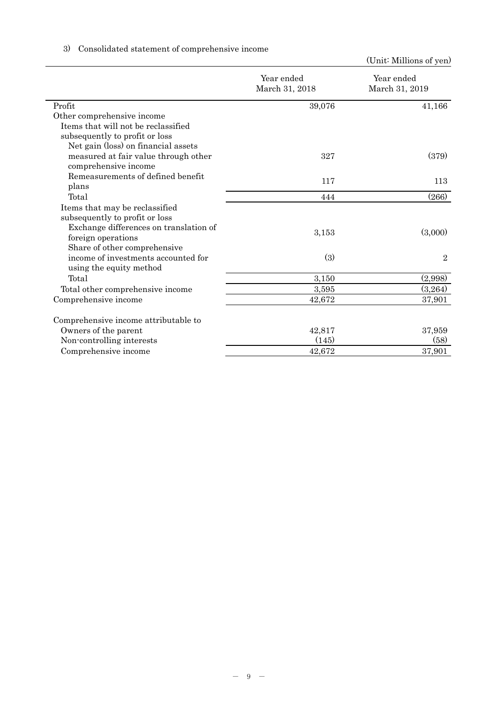|                              | (Ome minimum or year)         |
|------------------------------|-------------------------------|
| Year ended<br>March 31, 2018 | Year ended<br>March 31, 2019  |
|                              | 41,166                        |
|                              |                               |
|                              |                               |
|                              |                               |
|                              |                               |
| 327                          | (379)                         |
|                              |                               |
|                              | 113                           |
|                              |                               |
| 444                          | (266)                         |
|                              |                               |
|                              |                               |
|                              | (3,000)                       |
|                              |                               |
|                              |                               |
|                              | $\overline{2}$                |
|                              |                               |
| 3,150                        | (2,998)                       |
| 3,595                        | (3,264)                       |
| 42,672                       | 37,901                        |
|                              |                               |
| 42,817                       | 37,959                        |
| (145)                        | (58)                          |
| 42,672                       | 37,901                        |
|                              | 39,076<br>117<br>3,153<br>(3) |

# 3) Consolidated statement of comprehensive income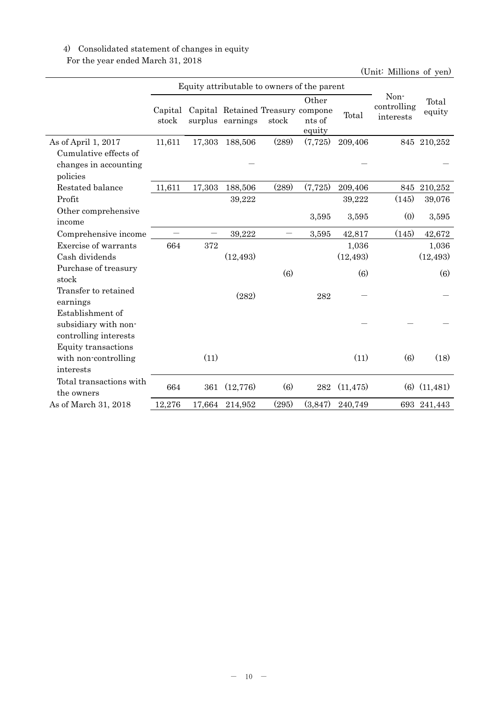# 4) Consolidated statement of changes in equity

For the year ended March 31, 2018

|                         |                  | Equity attributable to owners of the parent |                                                       |       |                           |           |                                  |                  |
|-------------------------|------------------|---------------------------------------------|-------------------------------------------------------|-------|---------------------------|-----------|----------------------------------|------------------|
|                         | Capital<br>stock |                                             | Capital Retained Treasury compone<br>surplus earnings | stock | Other<br>nts of<br>equity | Total     | Non-<br>controlling<br>interests | Total<br>equity  |
| As of April 1, 2017     | 11,611           | 17,303                                      | 188,506                                               | (289) | (7,725)                   | 209,406   |                                  | 845 210,252      |
| Cumulative effects of   |                  |                                             |                                                       |       |                           |           |                                  |                  |
| changes in accounting   |                  |                                             |                                                       |       |                           |           |                                  |                  |
| policies                |                  |                                             |                                                       |       |                           |           |                                  |                  |
| Restated balance        | 11,611           | 17,303                                      | 188,506                                               | (289) | (7,725)                   | 209,406   | 845                              | 210,252          |
| Profit                  |                  |                                             | 39,222                                                |       |                           | 39,222    | (145)                            | 39,076           |
| Other comprehensive     |                  |                                             |                                                       |       | 3,595                     | 3,595     | (0)                              | 3,595            |
| income                  |                  |                                             |                                                       |       |                           |           |                                  |                  |
| Comprehensive income    |                  |                                             | 39,222                                                | —     | 3,595                     | 42,817    | (145)                            | 42,672           |
| Exercise of warrants    | 664              | 372                                         |                                                       |       |                           | 1,036     |                                  | 1,036            |
| Cash dividends          |                  |                                             | (12, 493)                                             |       |                           | (12, 493) |                                  | (12, 493)        |
| Purchase of treasury    |                  |                                             |                                                       | (6)   |                           | (6)       |                                  | (6)              |
| stock                   |                  |                                             |                                                       |       |                           |           |                                  |                  |
| Transfer to retained    |                  |                                             | (282)                                                 |       | 282                       |           |                                  |                  |
| earnings                |                  |                                             |                                                       |       |                           |           |                                  |                  |
| Establishment of        |                  |                                             |                                                       |       |                           |           |                                  |                  |
| subsidiary with non-    |                  |                                             |                                                       |       |                           |           |                                  |                  |
| controlling interests   |                  |                                             |                                                       |       |                           |           |                                  |                  |
| Equity transactions     |                  |                                             |                                                       |       |                           |           |                                  |                  |
| with non-controlling    |                  | (11)                                        |                                                       |       |                           | (11)      | (6)                              | (18)             |
| interests               |                  |                                             |                                                       |       |                           |           |                                  |                  |
| Total transactions with | 664              | 361                                         | (12, 776)                                             | (6)   | 282                       | (11, 475) |                                  | $(6)$ $(11,481)$ |
| the owners              |                  |                                             |                                                       |       |                           |           |                                  |                  |
| As of March 31, 2018    | 12,276           | 17,664                                      | 214,952                                               | (295) | (3,847)                   | 240,749   |                                  | 693 241,443      |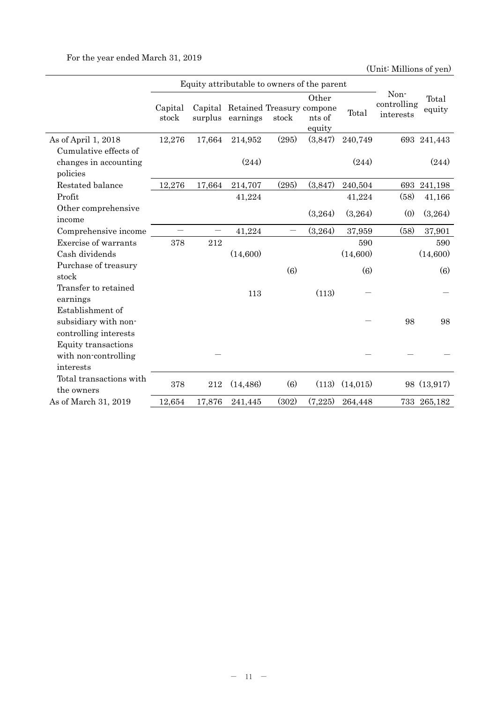For the year ended March 31, 2019

|                                                                   | Equity attributable to owners of the parent |                    |                                       |       |                           |          |                                  |                 |
|-------------------------------------------------------------------|---------------------------------------------|--------------------|---------------------------------------|-------|---------------------------|----------|----------------------------------|-----------------|
|                                                                   | Capital<br>stock                            | Capital<br>surplus | Retained Treasury compone<br>earnings | stock | Other<br>nts of<br>equity | Total    | Non-<br>controlling<br>interests | Total<br>equity |
| As of April 1, 2018                                               | 12,276                                      | 17,664             | 214,952                               | (295) | (3,847)                   | 240,749  |                                  | 693 241,443     |
| Cumulative effects of                                             |                                             |                    |                                       |       |                           |          |                                  |                 |
| changes in accounting<br>policies                                 |                                             |                    | (244)                                 |       |                           | (244)    |                                  | (244)           |
| Restated balance                                                  | 12,276                                      | 17,664             | 214,707                               | (295) | (3,847)                   | 240,504  | 693                              | 241,198         |
| Profit                                                            |                                             |                    | 41,224                                |       |                           | 41,224   | (58)                             | 41,166          |
| Other comprehensive<br>income                                     |                                             |                    |                                       |       | (3,264)                   | (3,264)  | (0)                              | (3,264)         |
| Comprehensive income                                              |                                             |                    | 41,224                                |       | (3,264)                   | 37,959   | (58)                             | 37,901          |
| Exercise of warrants                                              | 378                                         | 212                |                                       |       |                           | 590      |                                  | 590             |
| Cash dividends                                                    |                                             |                    | (14,600)                              |       |                           | (14,600) |                                  | (14,600)        |
| Purchase of treasury<br>stock                                     |                                             |                    |                                       | (6)   |                           | (6)      |                                  | (6)             |
| Transfer to retained<br>earnings                                  |                                             |                    | 113                                   |       | (113)                     |          |                                  |                 |
| Establishment of<br>subsidiary with non-<br>controlling interests |                                             |                    |                                       |       |                           |          | 98                               | 98              |
| Equity transactions<br>with non-controlling<br>interests          |                                             |                    |                                       |       |                           |          |                                  |                 |
| Total transactions with<br>the owners                             | 378                                         | 212                | (14, 486)                             | (6)   | (113)                     | (14,015) |                                  | 98 (13,917)     |
| As of March 31, 2019                                              | 12,654                                      | 17,876             | 241,445                               | (302) | (7,225)                   | 264,448  | 733                              | 265,182         |
|                                                                   |                                             |                    |                                       |       |                           |          |                                  |                 |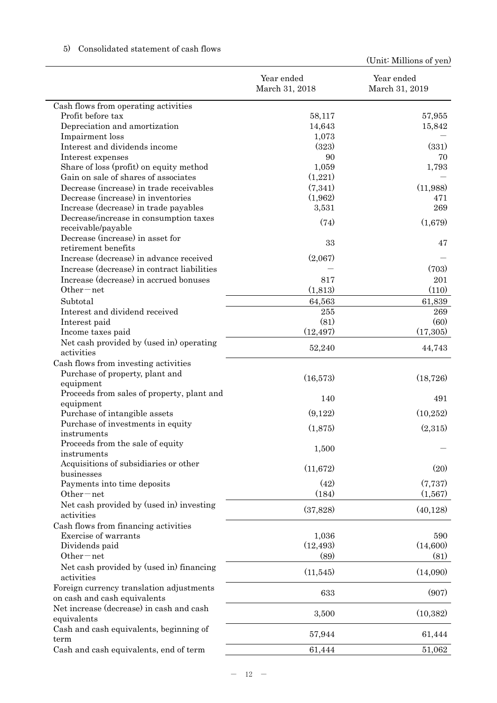|                                                                          | Year ended<br>March 31, 2018 | Year ended<br>March 31, 2019 |
|--------------------------------------------------------------------------|------------------------------|------------------------------|
| Cash flows from operating activities                                     |                              |                              |
| Profit before tax                                                        | 58,117                       | 57,955                       |
| Depreciation and amortization                                            | 14,643                       | 15,842                       |
| Impairment loss                                                          | 1,073                        |                              |
| Interest and dividends income                                            | (323)                        | (331)                        |
| Interest expenses                                                        | 90                           | 70                           |
| Share of loss (profit) on equity method                                  | 1,059                        | 1,793                        |
| Gain on sale of shares of associates                                     | (1,221)                      |                              |
| Decrease (increase) in trade receivables                                 | (7,341)                      | (11,988)                     |
| Decrease (increase) in inventories                                       | (1,962)                      | 471                          |
| Increase (decrease) in trade payables                                    | 3,531                        | 269                          |
| Decrease/increase in consumption taxes<br>receivable/payable             | (74)                         | (1,679)                      |
| Decrease (increase) in asset for<br>retirement benefits                  | 33                           | 47                           |
| Increase (decrease) in advance received                                  | (2,067)                      |                              |
| Increase (decrease) in contract liabilities                              |                              | (703)                        |
| Increase (decrease) in accrued bonuses                                   | 817                          | 201                          |
| Other $-$ net                                                            | (1,813)                      | (110)                        |
| Subtotal                                                                 | 64,563                       | 61,839                       |
| Interest and dividend received                                           | 255                          | 269                          |
| Interest paid                                                            | (81)                         | (60)                         |
| Income taxes paid                                                        | (12, 497)                    | (17,305)                     |
| Net cash provided by (used in) operating<br>activities                   | 52,240                       | 44,743                       |
| Cash flows from investing activities                                     |                              |                              |
| Purchase of property, plant and                                          | (16,573)                     | (18, 726)                    |
| equipment                                                                |                              |                              |
| Proceeds from sales of property, plant and<br>equipment                  | 140                          | 491                          |
| Purchase of intangible assets                                            | (9,122)                      | (10, 252)                    |
| Purchase of investments in equity                                        | (1,875)                      | (2,315)                      |
| instruments                                                              |                              |                              |
| Proceeds from the sale of equity<br>instruments                          | 1,500                        |                              |
| Acquisitions of subsidiaries or other<br>businesses                      | (11,672)                     | (20)                         |
| Payments into time deposits                                              | (42)                         | (7,737)                      |
| Other-net                                                                | (184)                        | (1,567)                      |
| Net cash provided by (used in) investing<br>activities                   | (37,828)                     | (40, 128)                    |
| Cash flows from financing activities                                     |                              |                              |
| Exercise of warrants                                                     | 1,036                        | 590                          |
| Dividends paid                                                           | (12, 493)                    | (14,600)                     |
| Other-net                                                                | (89)                         | (81)                         |
| Net cash provided by (used in) financing<br>activities                   | (11,545)                     | (14,090)                     |
| Foreign currency translation adjustments<br>on cash and cash equivalents | 633                          | (907)                        |
| Net increase (decrease) in cash and cash<br>equivalents                  | 3,500                        | (10, 382)                    |
| Cash and cash equivalents, beginning of<br>term                          | 57,944                       | 61,444                       |
| Cash and cash equivalents, end of term                                   | 61,444                       | 51,062                       |

# 5) Consolidated statement of cash flows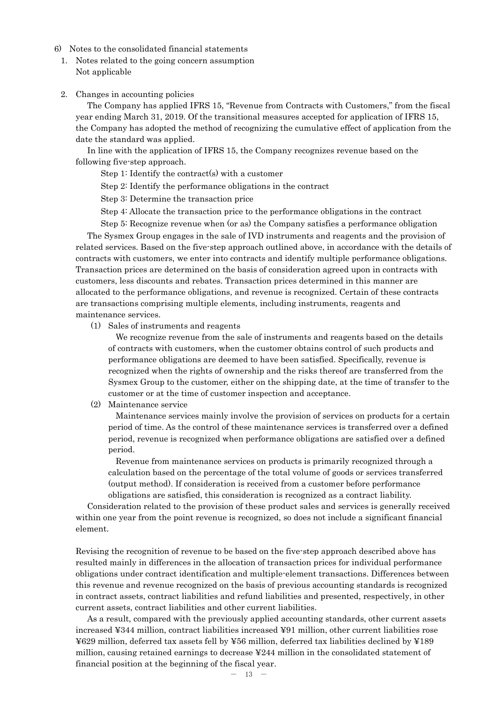- 6) Notes to the consolidated financial statements
	- 1. Notes related to the going concern assumption Not applicable
	- 2. Changes in accounting policies

The Company has applied IFRS 15, "Revenue from Contracts with Customers," from the fiscal year ending March 31, 2019. Of the transitional measures accepted for application of IFRS 15, the Company has adopted the method of recognizing the cumulative effect of application from the date the standard was applied.

In line with the application of IFRS 15, the Company recognizes revenue based on the following five-step approach.

Step 1: Identify the contract(s) with a customer

Step 2: Identify the performance obligations in the contract

Step 3: Determine the transaction price

Step 4: Allocate the transaction price to the performance obligations in the contract

Step 5: Recognize revenue when (or as) the Company satisfies a performance obligation The Sysmex Group engages in the sale of IVD instruments and reagents and the provision of related services. Based on the five-step approach outlined above, in accordance with the details of contracts with customers, we enter into contracts and identify multiple performance obligations. Transaction prices are determined on the basis of consideration agreed upon in contracts with customers, less discounts and rebates. Transaction prices determined in this manner are allocated to the performance obligations, and revenue is recognized. Certain of these contracts are transactions comprising multiple elements, including instruments, reagents and maintenance services.

(1) Sales of instruments and reagents

We recognize revenue from the sale of instruments and reagents based on the details of contracts with customers, when the customer obtains control of such products and performance obligations are deemed to have been satisfied. Specifically, revenue is recognized when the rights of ownership and the risks thereof are transferred from the Sysmex Group to the customer, either on the shipping date, at the time of transfer to the customer or at the time of customer inspection and acceptance.

(2) Maintenance service

Maintenance services mainly involve the provision of services on products for a certain period of time. As the control of these maintenance services is transferred over a defined period, revenue is recognized when performance obligations are satisfied over a defined period.

Revenue from maintenance services on products is primarily recognized through a calculation based on the percentage of the total volume of goods or services transferred (output method). If consideration is received from a customer before performance obligations are satisfied, this consideration is recognized as a contract liability.

Consideration related to the provision of these product sales and services is generally received within one year from the point revenue is recognized, so does not include a significant financial element.

Revising the recognition of revenue to be based on the five-step approach described above has resulted mainly in differences in the allocation of transaction prices for individual performance obligations under contract identification and multiple-element transactions. Differences between this revenue and revenue recognized on the basis of previous accounting standards is recognized in contract assets, contract liabilities and refund liabilities and presented, respectively, in other current assets, contract liabilities and other current liabilities.

As a result, compared with the previously applied accounting standards, other current assets increased ¥344 million, contract liabilities increased ¥91 million, other current liabilities rose ¥629 million, deferred tax assets fell by ¥56 million, deferred tax liabilities declined by ¥189 million, causing retained earnings to decrease ¥244 million in the consolidated statement of financial position at the beginning of the fiscal year.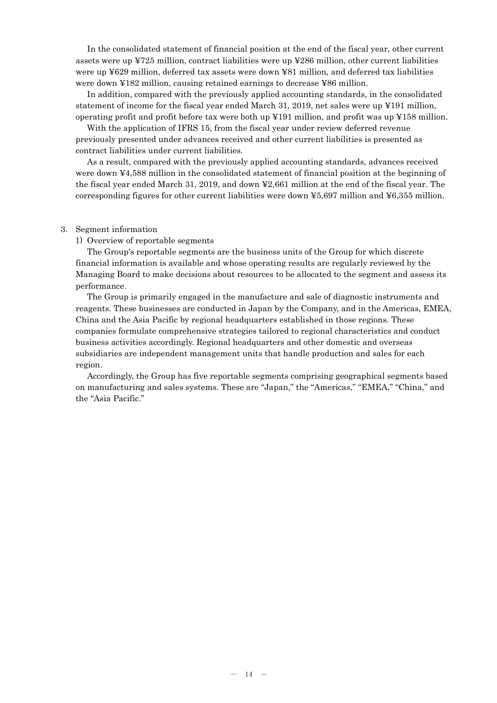In the consolidated statement of financial position at the end of the fiscal year, other current assets were up ¥725 million, contract liabilities were up ¥286 million, other current liabilities were up ¥629 million, deferred tax assets were down ¥81 million, and deferred tax liabilities were down ¥182 million, causing retained earnings to decrease ¥86 million.

In addition, compared with the previously applied accounting standards, in the consolidated statement of income for the fiscal year ended March 31, 2019, net sales were up ¥191 million, operating profit and profit before tax were both up ¥191 million, and profit was up ¥158 million.

With the application of IFRS 15, from the fiscal year under review deferred revenue previously presented under advances received and other current liabilities is presented as contract liabilities under current liabilities.

As a result, compared with the previously applied accounting standards, advances received were down ¥4,588 million in the consolidated statement of financial position at the beginning of the fiscal year ended March 31, 2019, and down ¥2,661 million at the end of the fiscal year. The corresponding figures for other current liabilities were down ¥5,697 million and ¥6,355 million.

#### 3. Segment information

#### 1) Overview of reportable segments

The Group's reportable segments are the business units of the Group for which discrete financial information is available and whose operating results are regularly reviewed by the Managing Board to make decisions about resources to be allocated to the segment and assess its performance.

The Group is primarily engaged in the manufacture and sale of diagnostic instruments and reagents. These businesses are conducted in Japan by the Company, and in the Americas, EMEA, China and the Asia Pacific by regional headquarters established in those regions. These companies formulate comprehensive strategies tailored to regional characteristics and conduct business activities accordingly. Regional headquarters and other domestic and overseas subsidiaries are independent management units that handle production and sales for each region.

Accordingly, the Group has five reportable segments comprising geographical segments based on manufacturing and sales systems. These are "Japan," the "Americas," "EMEA," "China," and the "Asia Pacific."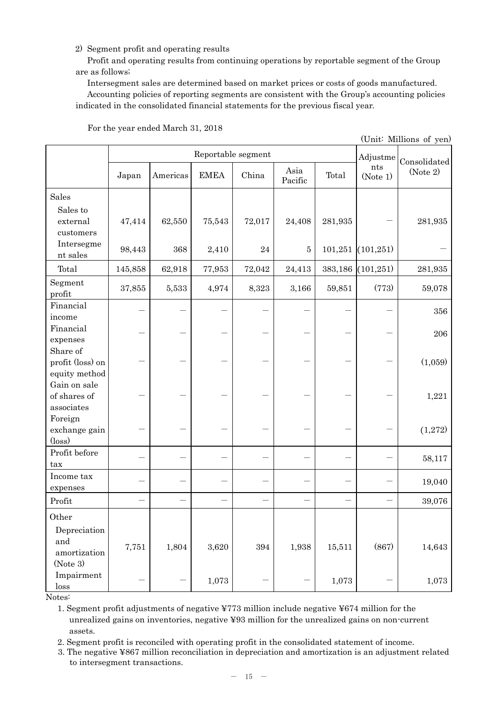## 2) Segment profit and operating results

Profit and operating results from continuing operations by reportable segment of the Group are as follows;

Intersegment sales are determined based on market prices or costs of goods manufactured.

Accounting policies of reporting segments are consistent with the Group's accounting policies indicated in the consolidated financial statements for the previous fiscal year.

|                                               |                    |          |             |          |                 |         |                 | (Unit: Millions of yen)  |
|-----------------------------------------------|--------------------|----------|-------------|----------|-----------------|---------|-----------------|--------------------------|
|                                               | Reportable segment |          |             |          |                 |         |                 | Adjustme<br>Consolidated |
|                                               | Japan              | Americas | <b>EMEA</b> | China    | Asia<br>Pacific | Total   | nts<br>(Note 1) | (Note 2)                 |
| <b>Sales</b>                                  |                    |          |             |          |                 |         |                 |                          |
| Sales to<br>external<br>$\cos$ tomers         | 47,414             | 62,550   | 75,543      | 72,017   | 24,408          | 281,935 |                 | 281,935                  |
| Intersegme<br>nt sales                        | 98,443             | 368      | 2,410       | $\bf 24$ | $\bf 5$         | 101,251 | (101, 251)      |                          |
| Total                                         | 145,858            | 62,918   | 77,953      | 72,042   | 24,413          | 383,186 | (101, 251)      | 281,935                  |
| Segment<br>profit                             | 37,855             | 5,533    | 4,974       | 8,323    | 3,166           | 59,851  | (773)           | 59,078                   |
| Financial<br>income                           |                    |          |             |          |                 |         |                 | 356                      |
| Financial<br>expenses                         |                    |          |             |          |                 |         |                 | 206                      |
| Share of<br>profit (loss) on<br>equity method |                    |          |             |          |                 |         |                 | (1,059)                  |
| Gain on sale<br>of shares of<br>associates    |                    |          |             |          |                 |         |                 | 1,221                    |
| Foreign<br>exchange gain<br>$(\text{loss})$   |                    |          |             |          |                 |         |                 | (1,272)                  |
| Profit before<br>tax                          |                    |          |             |          |                 |         |                 | 58,117                   |
| Income tax<br>expenses                        |                    |          |             |          |                 |         |                 | 19,040                   |
| Profit                                        |                    |          |             |          |                 |         |                 | 39,076                   |
| Other<br>Depreciation                         |                    |          |             |          |                 |         |                 |                          |
| and<br>amortization<br>(Note 3)               | 7,751              | 1,804    | 3,620       | 394      | 1,938           | 15,511  | (867)           | 14,643                   |
| Impairment<br>loss                            |                    |          | 1,073       |          |                 | 1,073   |                 | 1,073                    |

For the year ended March 31, 2018

Notes:

1. Segment profit adjustments of negative ¥773 million include negative ¥674 million for the unrealized gains on inventories, negative ¥93 million for the unrealized gains on non-current assets.

2. Segment profit is reconciled with operating profit in the consolidated statement of income.

3. The negative ¥867 million reconciliation in depreciation and amortization is an adjustment related to intersegment transactions.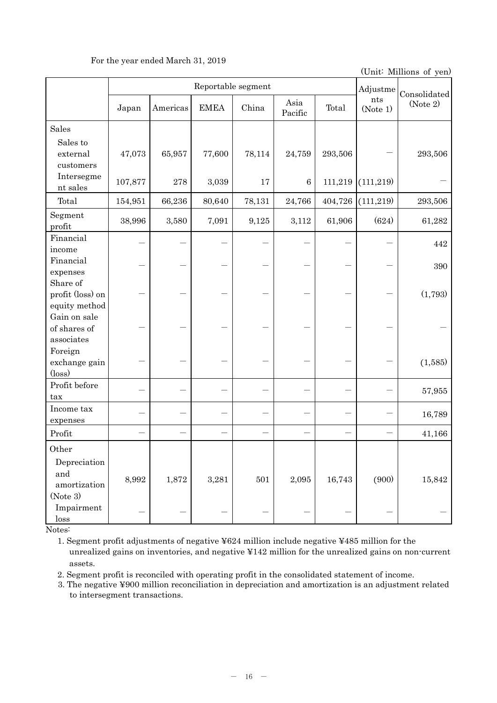## For the year ended March 31, 2019

(Unit: Millions of yen)

|                                                             | Reportable segment |           |             |        |                 |         |                 | Consolidated |
|-------------------------------------------------------------|--------------------|-----------|-------------|--------|-----------------|---------|-----------------|--------------|
|                                                             | Japan              | Americas  | <b>EMEA</b> | China  | Asia<br>Pacific | Total   | nts<br>(Note 1) | (Note 2)     |
| Sales                                                       |                    |           |             |        |                 |         |                 |              |
| Sales to<br>external<br>customers                           | 47,073             | 65,957    | 77,600      | 78,114 | 24,759          | 293,506 |                 | 293,506      |
| Intersegme<br>nt sales                                      | 107,877            | $\bf 278$ | 3,039       | $17\,$ | $\,6\,$         | 111,219 | (111, 219)      |              |
| Total                                                       | 154,951            | 66,236    | 80,640      | 78,131 | 24,766          | 404,726 | (111, 219)      | 293,506      |
| Segment<br>profit                                           | 38,996             | 3,580     | 7,091       | 9,125  | 3,112           | 61,906  | (624)           | 61,282       |
| Financial<br>income                                         |                    |           |             |        |                 |         |                 | 442          |
| Financial<br>expenses                                       |                    |           |             |        |                 |         |                 | 390          |
| Share of<br>profit (loss) on                                |                    |           |             |        |                 |         |                 | (1,793)      |
| equity method<br>Gain on sale<br>of shares of<br>associates |                    |           |             |        |                 |         |                 |              |
| Foreign<br>exchange gain<br>$(\text{loss})$                 |                    |           |             |        |                 |         |                 | (1,585)      |
| Profit before<br>tax                                        |                    |           |             |        |                 |         |                 | 57,955       |
| Income tax<br>expenses                                      |                    |           |             |        |                 |         |                 | 16,789       |
| Profit                                                      |                    |           |             |        |                 |         |                 | 41,166       |
| Other<br>Depreciation<br>and<br>amortization                | 8,992              | 1,872     | 3,281       | 501    | 2,095           | 16,743  | (900)           | 15,842       |
| (Note 3)<br>Impairment<br>loss                              |                    |           |             |        |                 |         |                 |              |

Notes:

1. Segment profit adjustments of negative ¥624 million include negative ¥485 million for the unrealized gains on inventories, and negative ¥142 million for the unrealized gains on non-current assets.

2. Segment profit is reconciled with operating profit in the consolidated statement of income.

3. The negative ¥900 million reconciliation in depreciation and amortization is an adjustment related to intersegment transactions.